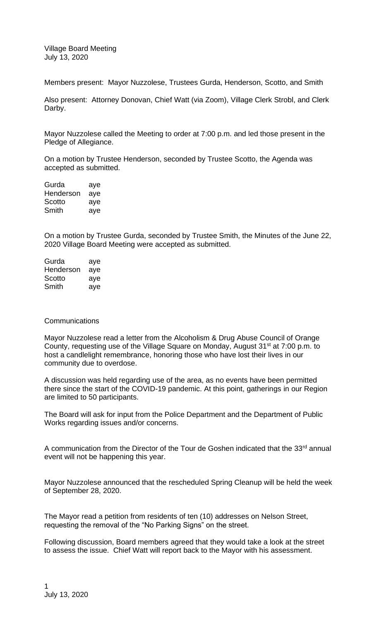Village Board Meeting July 13, 2020

Members present: Mayor Nuzzolese, Trustees Gurda, Henderson, Scotto, and Smith

Also present: Attorney Donovan, Chief Watt (via Zoom), Village Clerk Strobl, and Clerk Darby.

Mayor Nuzzolese called the Meeting to order at 7:00 p.m. and led those present in the Pledge of Allegiance.

On a motion by Trustee Henderson, seconded by Trustee Scotto, the Agenda was accepted as submitted.

| Gurda     | aye |
|-----------|-----|
| Henderson | aye |
| Scotto    | aye |
| Smith     | aye |

On a motion by Trustee Gurda, seconded by Trustee Smith, the Minutes of the June 22, 2020 Village Board Meeting were accepted as submitted.

| Gurda     | aye |
|-----------|-----|
| Henderson | aye |
| Scotto    | aye |
| Smith     | aye |

## **Communications**

Mayor Nuzzolese read a letter from the Alcoholism & Drug Abuse Council of Orange County, requesting use of the Village Square on Monday, August 31<sup>st</sup> at 7:00 p.m. to host a candlelight remembrance, honoring those who have lost their lives in our community due to overdose.

A discussion was held regarding use of the area, as no events have been permitted there since the start of the COVID-19 pandemic. At this point, gatherings in our Region are limited to 50 participants.

The Board will ask for input from the Police Department and the Department of Public Works regarding issues and/or concerns.

A communication from the Director of the Tour de Goshen indicated that the  $33<sup>rd</sup>$  annual event will not be happening this year.

Mayor Nuzzolese announced that the rescheduled Spring Cleanup will be held the week of September 28, 2020.

The Mayor read a petition from residents of ten (10) addresses on Nelson Street, requesting the removal of the "No Parking Signs" on the street.

Following discussion, Board members agreed that they would take a look at the street to assess the issue. Chief Watt will report back to the Mayor with his assessment.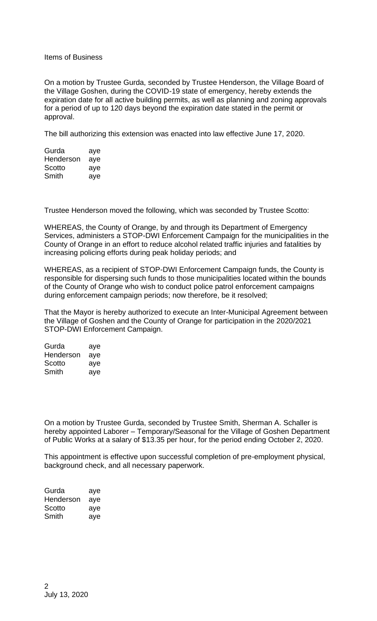## Items of Business

On a motion by Trustee Gurda, seconded by Trustee Henderson, the Village Board of the Village Goshen, during the COVID-19 state of emergency, hereby extends the expiration date for all active building permits, as well as planning and zoning approvals for a period of up to 120 days beyond the expiration date stated in the permit or approval.

The bill authorizing this extension was enacted into law effective June 17, 2020.

| Gurda     | aye |
|-----------|-----|
| Henderson | aye |
| Scotto    | aye |
| Smith     | aye |

Trustee Henderson moved the following, which was seconded by Trustee Scotto:

WHEREAS, the County of Orange, by and through its Department of Emergency Services, administers a STOP-DWI Enforcement Campaign for the municipalities in the County of Orange in an effort to reduce alcohol related traffic injuries and fatalities by increasing policing efforts during peak holiday periods; and

WHEREAS, as a recipient of STOP-DWI Enforcement Campaign funds, the County is responsible for dispersing such funds to those municipalities located within the bounds of the County of Orange who wish to conduct police patrol enforcement campaigns during enforcement campaign periods; now therefore, be it resolved;

That the Mayor is hereby authorized to execute an Inter-Municipal Agreement between the Village of Goshen and the County of Orange for participation in the 2020/2021 STOP-DWI Enforcement Campaign.

| Gurda     | aye |
|-----------|-----|
| Henderson | aye |
| Scotto    | aye |
| Smith     | aye |

On a motion by Trustee Gurda, seconded by Trustee Smith, Sherman A. Schaller is hereby appointed Laborer – Temporary/Seasonal for the Village of Goshen Department of Public Works at a salary of \$13.35 per hour, for the period ending October 2, 2020.

This appointment is effective upon successful completion of pre-employment physical, background check, and all necessary paperwork.

| Gurda     | aye |
|-----------|-----|
| Henderson | aye |
| Scotto    | aye |
| Smith     | aye |